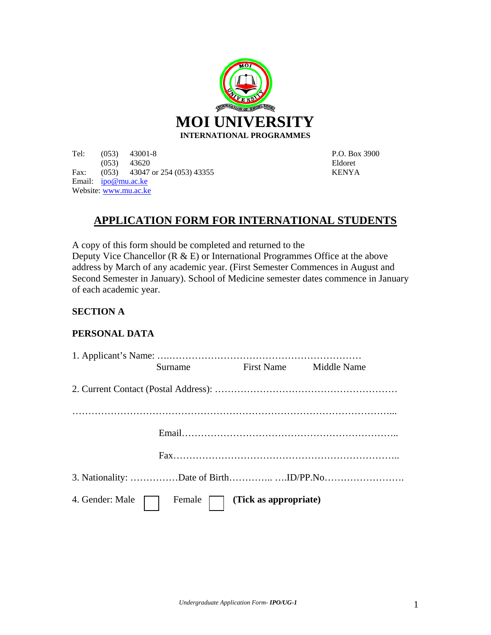

Tel: (053) 43001-8 P.O. Box 3900 (053) 43620 Eldoret Fax: (053) 43047 or 254 (053) 43355 KENYA Email: ipo@mu.ac.ke Website: www.mu.ac.ke

# **APPLICATION FORM FOR INTERNATIONAL STUDENTS**

A copy of this form should be completed and returned to the Deputy Vice Chancellor ( $R \& E$ ) or International Programmes Office at the above address by March of any academic year. (First Semester Commences in August and Second Semester in January). School of Medicine semester dates commence in January of each academic year.

## **SECTION A**

### **PERSONAL DATA**

|  | Surname                                          | First Name Middle Name |  |
|--|--------------------------------------------------|------------------------|--|
|  |                                                  |                        |  |
|  |                                                  |                        |  |
|  |                                                  |                        |  |
|  |                                                  |                        |  |
|  |                                                  |                        |  |
|  | 4. Gender: Male   Female   (Tick as appropriate) |                        |  |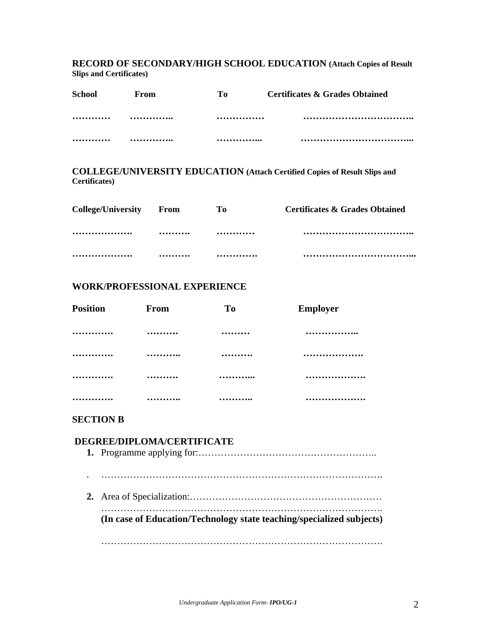**RECORD OF SECONDARY/HIGH SCHOOL EDUCATION (Attach Copies of Result Slips and Certificates)** 

| <b>School</b> | From | Tо | <b>Certificates &amp; Grades Obtained</b> |
|---------------|------|----|-------------------------------------------|
|               |      |    |                                           |
|               |      |    | .<br>                                     |

**COLLEGE/UNIVERSITY EDUCATION (Attach Certified Copies of Result Slips and Certificates)** 

| <b>College/University</b> | <b>From</b> | Tо | <b>Certificates &amp; Grades Obtained</b> |
|---------------------------|-------------|----|-------------------------------------------|
|                           |             |    |                                           |
|                           |             |    |                                           |

#### **WORK/PROFESSIONAL EXPERIENCE**

| <b>Position</b> | From | T <sub>0</sub> | <b>Employer</b> |
|-----------------|------|----------------|-----------------|
|                 |      |                |                 |
|                 |      |                |                 |
| .               |      |                |                 |
|                 |      |                |                 |

#### **SECTION B**

# **DEGREE/DIPLOMA/CERTIFICATE 1.** Programme applying for:……………………………………………….. . ……………………………………………………………………………. **2.** Area of Specialization:…………………………………………………… ……………………………………………………………………………. **(In case of Education/Technology state teaching/specialized subjects)**  …………………………………………………………………………….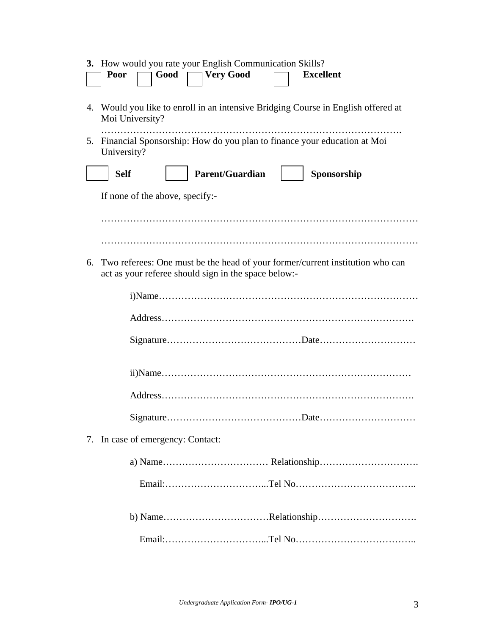|    | 3. How would you rate your English Communication Skills?<br><b>Very Good</b><br>Good<br>Poor<br><b>Excellent</b>                      |  |
|----|---------------------------------------------------------------------------------------------------------------------------------------|--|
|    | 4. Would you like to enroll in an intensive Bridging Course in English offered at<br>Moi University?                                  |  |
| 5. | Financial Sponsorship: How do you plan to finance your education at Moi<br>University?                                                |  |
|    | <b>Parent/Guardian</b><br><b>Self</b><br>Sponsorship                                                                                  |  |
|    | If none of the above, specify:-                                                                                                       |  |
|    |                                                                                                                                       |  |
|    |                                                                                                                                       |  |
| 6. | Two referees: One must be the head of your former/current institution who can<br>act as your referee should sign in the space below:- |  |
|    |                                                                                                                                       |  |
|    |                                                                                                                                       |  |
|    |                                                                                                                                       |  |
|    |                                                                                                                                       |  |
|    |                                                                                                                                       |  |
|    |                                                                                                                                       |  |
|    | 7. In case of emergency: Contact:                                                                                                     |  |
|    |                                                                                                                                       |  |
|    |                                                                                                                                       |  |
|    | b) NameRelationship                                                                                                                   |  |
|    |                                                                                                                                       |  |